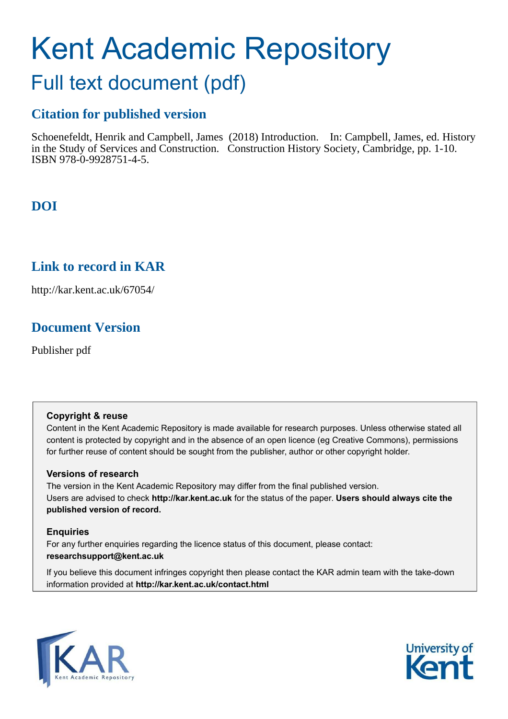# Kent Academic Repository

## Full text document (pdf)

### **Citation for published version**

Schoenefeldt, Henrik and Campbell, James (2018) Introduction. In: Campbell, James, ed. History in the Study of Services and Construction. Construction History Society, Cambridge, pp. 1-10. ISBN 978-0-9928751-4-5.

## **DOI**

## **Link to record in KAR**

http://kar.kent.ac.uk/67054/

## **Document Version**

Publisher pdf

#### **Copyright & reuse**

Content in the Kent Academic Repository is made available for research purposes. Unless otherwise stated all content is protected by copyright and in the absence of an open licence (eg Creative Commons), permissions for further reuse of content should be sought from the publisher, author or other copyright holder.

#### **Versions of research**

The version in the Kent Academic Repository may differ from the final published version. Users are advised to check **http://kar.kent.ac.uk** for the status of the paper. **Users should always cite the published version of record.**

#### **Enquiries**

For any further enquiries regarding the licence status of this document, please contact: **researchsupport@kent.ac.uk**

If you believe this document infringes copyright then please contact the KAR admin team with the take-down information provided at **http://kar.kent.ac.uk/contact.html**



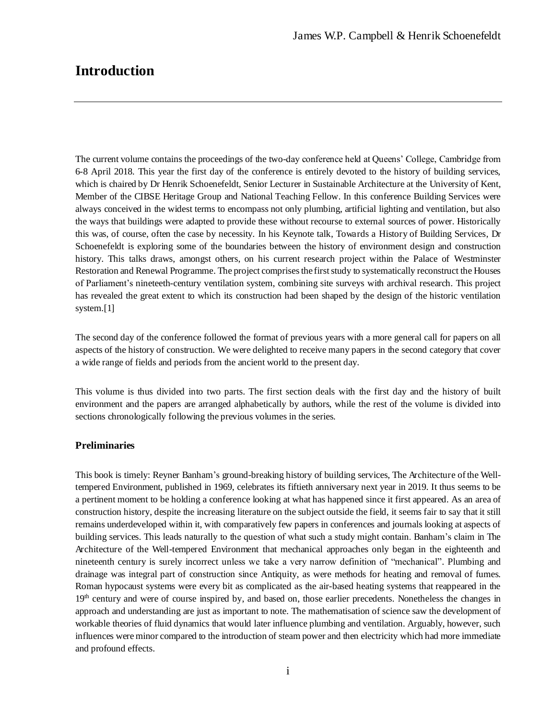The current volume contains the proceedings of the two-day conference held at Queens' College, Cambridge from 6-8 April 2018. This year the first day of the conference is entirely devoted to the history of building services, which is chaired by Dr Henrik Schoenefeldt, Senior Lecturer in Sustainable Architecture at the University of Kent, Member of the CIBSE Heritage Group and National Teaching Fellow. In this conference Building Services were always conceived in the widest terms to encompass not only plumbing, artificial lighting and ventilation, but also the ways that buildings were adapted to provide these without recourse to external sources of power. Historically this was, of course, often the case by necessity. In his Keynote talk, Towards a History of Building Services, Dr Schoenefeldt is exploring some of the boundaries between the history of environment design and construction history. This talks draws, amongst others, on his current research project within the Palace of Westminster Restoration and Renewal Programme. The project comprises the first study to systematically reconstruct the Houses of Parliament's nineteeth-century ventilation system, combining site surveys with archival research. This project has revealed the great extent to which its construction had been shaped by the design of the historic ventilation system.[1]

The second day of the conference followed the format of previous years with a more general call for papers on all aspects of the history of construction. We were delighted to receive many papers in the second category that cover a wide range of fields and periods from the ancient world to the present day.

This volume is thus divided into two parts. The first section deals with the first day and the history of built environment and the papers are arranged alphabetically by authors, while the rest of the volume is divided into sections chronologically following the previous volumes in the series.

#### **Preliminaries**

This book is timely: Reyner Banham's ground-breaking history of building services, The Architecture of the Welltempered Environment, published in 1969, celebrates its fiftieth anniversary next year in 2019. It thus seems to be a pertinent moment to be holding a conference looking at what has happened since it first appeared. As an area of construction history, despite the increasing literature on the subject outside the field, it seems fair to say that it still remains underdeveloped within it, with comparatively few papers in conferences and journals looking at aspects of building services. This leads naturally to the question of what such a study might contain. Banham's claim in The Architecture of the Well-tempered Environment that mechanical approaches only began in the eighteenth and nineteenth century is surely incorrect unless we take a very narrow definition of "mechanical". Plumbing and drainage was integral part of construction since Antiquity, as were methods for heating and removal of fumes. Roman hypocaust systems were every bit as complicated as the air-based heating systems that reappeared in the 19<sup>th</sup> century and were of course inspired by, and based on, those earlier precedents. Nonetheless the changes in approach and understanding are just as important to note. The mathematisation of science saw the development of workable theories of fluid dynamics that would later influence plumbing and ventilation. Arguably, however, such influences were minor compared to the introduction of steam power and then electricity which had more immediate and profound effects.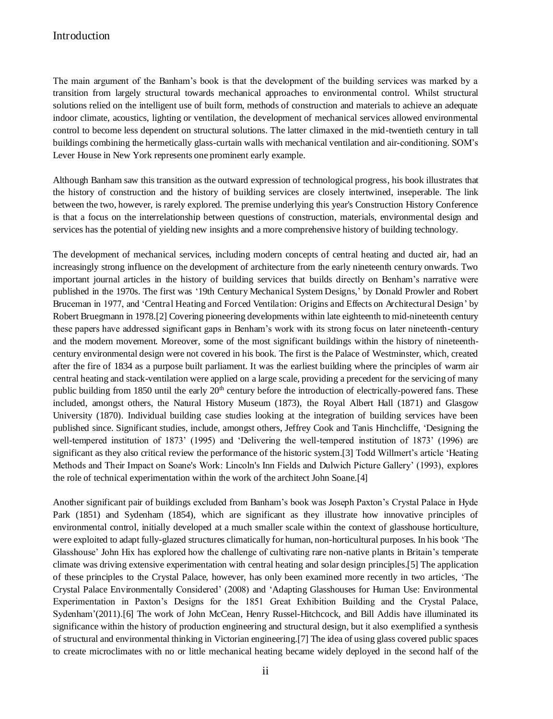The main argument of the Banham's book is that the development of the building services was marked by a transition from largely structural towards mechanical approaches to environmental control. Whilst structural solutions relied on the intelligent use of built form, methods of construction and materials to achieve an adequate indoor climate, acoustics, lighting or ventilation, the development of mechanical services allowed environmental control to become less dependent on structural solutions. The latter climaxed in the mid-twentieth century in tall buildings combining the hermetically glass-curtain walls with mechanical ventilation and air-conditioning. SOM's Lever House in New York represents one prominent early example.

Although Banham saw this transition as the outward expression of technological progress, his book illustrates that the history of construction and the history of building services are closely intertwined, inseperable. The link between the two, however, is rarely explored. The premise underlying this year's Construction History Conference is that a focus on the interrelationship between questions of construction, materials, environmental design and services has the potential of yielding new insights and a more comprehensive history of building technology.

The development of mechanical services, including modern concepts of central heating and ducted air, had an increasingly strong influence on the development of architecture from the early nineteenth century onwards. Two important journal articles in the history of building services that builds directly on Benham's narrative were published in the 1970s. The first was '19th Century Mechanical System Designs,' by Donald Prowler and Robert Bruceman in 1977, and 'Central Heating and Forced Ventilation: Origins and Effects on Architectural Design' by Robert Bruegmann in 1978.[2] Covering pioneering developments within late eighteenth to mid-nineteenth century these papers have addressed significant gaps in Benham's work with its strong focus on later nineteenth-century and the modern movement. Moreover, some of the most significant buildings within the history of nineteenthcentury environmental design were not covered in his book. The first is the Palace of Westminster, which, created after the fire of 1834 as a purpose built parliament. It was the earliest building where the principles of warm air central heating and stack-ventilation were applied on a large scale, providing a precedent for the servicing of many public building from 1850 until the early  $20<sup>th</sup>$  century before the introduction of electrically-powered fans. These included, amongst others, the Natural History Museum (1873), the Royal Albert Hall (1871) and Glasgow University (1870). Individual building case studies looking at the integration of building services have been published since. Significant studies, include, amongst others, Jeffrey Cook and Tanis Hinchcliffe, 'Designing the well-tempered institution of 1873' (1995) and 'Delivering the well-tempered institution of 1873' (1996) are significant as they also critical review the performance of the historic system.[3] Todd Willmert's article 'Heating Methods and Their Impact on Soane's Work: Lincoln's Inn Fields and Dulwich Picture Gallery' (1993), explores the role of technical experimentation within the work of the architect John Soane.[4]

Another significant pair of buildings excluded from Banham's book was Joseph Paxton's Crystal Palace in Hyde Park (1851) and Sydenham (1854), which are significant as they illustrate how innovative principles of environmental control, initially developed at a much smaller scale within the context of glasshouse horticulture, were exploited to adapt fully-glazed structures climatically for human, non-horticultural purposes. In his book 'The Glasshouse' John Hix has explored how the challenge of cultivating rare non-native plants in Britain's temperate climate was driving extensive experimentation with central heating and solar design principles.[5] The application of these principles to the Crystal Palace, however, has only been examined more recently in two articles, 'The Crystal Palace Environmentally Considered' (2008) and 'Adapting Glasshouses for Human Use: Environmental Experimentation in Paxton's Designs for the 1851 Great Exhibition Building and the Crystal Palace, Sydenham'(2011).[6] The work of John McCean, Henry Russel-Hitchcock, and Bill Addis have illuminated its significance within the history of production engineering and structural design, but it also exemplified a synthesis of structural and environmental thinking in Victorian engineering.[7] The idea of using glass covered public spaces to create microclimates with no or little mechanical heating became widely deployed in the second half of the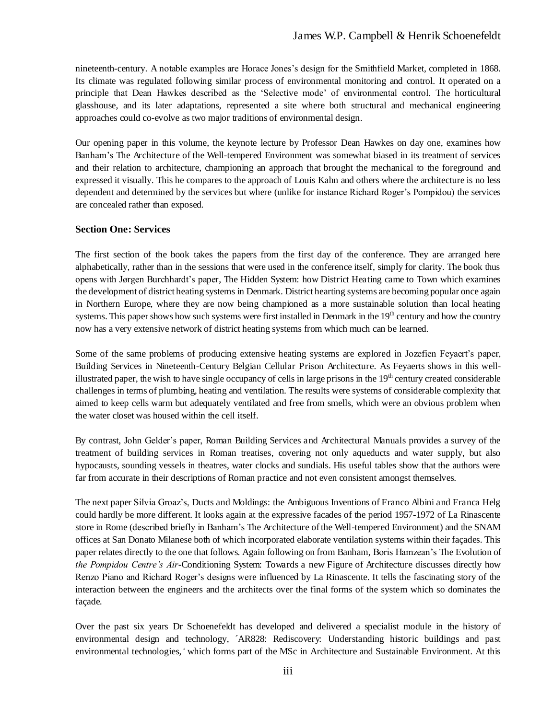nineteenth-century. A notable examples are Horace Jones's design for the Smithfield Market, completed in 1868. Its climate was regulated following similar process of environmental monitoring and control. It operated on a principle that Dean Hawkes described as the 'Selective mode' of environmental control. The horticultural glasshouse, and its later adaptations, represented a site where both structural and mechanical engineering approaches could co-evolve as two major traditions of environmental design.

Our opening paper in this volume, the keynote lecture by Professor Dean Hawkes on day one, examines how Banham's The Architecture of the Well-tempered Environment was somewhat biased in its treatment of services and their relation to architecture, championing an approach that brought the mechanical to the foreground and expressed it visually. This he compares to the approach of Louis Kahn and others where the architecture is no less dependent and determined by the services but where (unlike for instance Richard Roger's Pompidou) the services are concealed rather than exposed.

#### **Section One: Services**

The first section of the book takes the papers from the first day of the conference. They are arranged here alphabetically, rather than in the sessions that were used in the conference itself, simply for clarity. The book thus opens with Jørgen Burchhardt's paper, The Hidden System: how District Heating came to Town which examines the development of district heating systems in Denmark. District hearting systems are becoming popular once again in Northern Europe, where they are now being championed as a more sustainable solution than local heating systems. This paper shows how such systems were first installed in Denmark in the 19<sup>th</sup> century and how the country now has a very extensive network of district heating systems from which much can be learned.

Some of the same problems of producing extensive heating systems are explored in Jozefien Feyaert's paper, Building Services in Nineteenth-Century Belgian Cellular Prison Architecture. As Feyaerts shows in this wellillustrated paper, the wish to have single occupancy of cells in large prisons in the  $19<sup>th</sup>$  century created considerable challenges in terms of plumbing, heating and ventilation. The results were systems of considerable complexity that aimed to keep cells warm but adequately ventilated and free from smells, which were an obvious problem when the water closet was housed within the cell itself.

By contrast, John Gelder's paper, Roman Building Services and Architectural Manuals provides a survey of the treatment of building services in Roman treatises, covering not only aqueducts and water supply, but also hypocausts, sounding vessels in theatres, water clocks and sundials. His useful tables show that the authors were far from accurate in their descriptions of Roman practice and not even consistent amongst themselves.

The next paper Silvia Groaz's, Ducts and Moldings: the Ambiguous Inventions of Franco Albini and Franca Helg could hardly be more different. It looks again at the expressive facades of the period 1957-1972 of La Rinascente store in Rome (described briefly in Banham's The Architecture of the Well-tempered Environment) and the SNAM offices at San Donato Milanese both of which incorporated elaborate ventilation systems within their façades. This paper relates directly to the one that follows. Again following on from Banham, Boris Hamzean's The Evolution of *the Pompidou Centre's Air*-Conditioning System: Towards a new Figure of Architecture discusses directly how Renzo Piano and Richard Roger's designs were influenced by La Rinascente. It tells the fascinating story of the interaction between the engineers and the architects over the final forms of the system which so dominates the façade.

Over the past six years Dr Schoenefeldt has developed and delivered a specialist module in the history of environmental design and technology, ´AR828: Rediscovery: Understanding historic buildings and past environmental technologies,*'* which forms part of the MSc in Architecture and Sustainable Environment. At this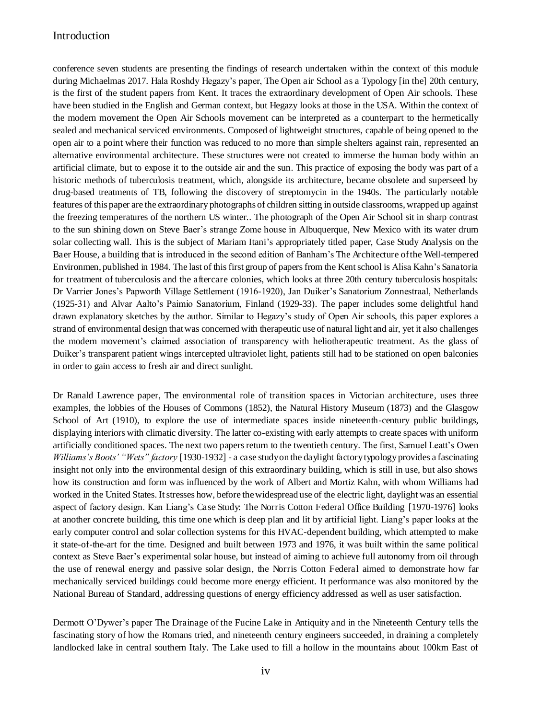conference seven students are presenting the findings of research undertaken within the context of this module during Michaelmas 2017. Hala Roshdy Hegazy's paper, The Open air School as a Typology [in the] 20th century, is the first of the student papers from Kent. It traces the extraordinary development of Open Air schools. These have been studied in the English and German context, but Hegazy looks at those in the USA. Within the context of the modern movement the Open Air Schools movement can be interpreted as a counterpart to the hermetically sealed and mechanical serviced environments. Composed of lightweight structures, capable of being opened to the open air to a point where their function was reduced to no more than simple shelters against rain, represented an alternative environmental architecture. These structures were not created to immerse the human body within an artificial climate, but to expose it to the outside air and the sun. This practice of exposing the body was part of a historic methods of tuberculosis treatment, which, alongside its architecture, became obsolete and superseed by drug-based treatments of TB, following the discovery of streptomycin in the 1940s. The particularly notable features of this paper are the extraordinary photographs of children sitting in outside classrooms, wrapped up against the freezing temperatures of the northern US winter.. The photograph of the Open Air School sit in sharp contrast to the sun shining down on Steve Baer's strange Zome house in Albuquerque, New Mexico with its water drum solar collecting wall. This is the subject of Mariam Itani's appropriately titled paper, Case Study Analysis on the Baer House, a building that is introduced in the second edition of Banham's The Architecture of the Well-tempered Environmen, published in 1984. The last of this first group of papers from the Kent school is Alisa Kahn's Sanatoria for treatment of tuberculosis and the aftercare colonies, which looks at three 20th century tuberculosis hospitals: Dr Varrier Jones's Papworth Village Settlement (1916-1920), Jan Duiker's Sanatorium Zonnestraal, Netherlands (1925-31) and Alvar Aalto's Paimio Sanatorium, Finland (1929-33). The paper includes some delightful hand drawn explanatory sketches by the author. Similar to Hegazy's study of Open Air schools, this paper explores a strand of environmental design that was concerned with therapeutic use of natural light and air, yet it also challenges the modern movement's claimed association of transparency with heliotherapeutic treatment. As the glass of Duiker's transparent patient wings intercepted ultraviolet light, patients still had to be stationed on open balconies in order to gain access to fresh air and direct sunlight.

Dr Ranald Lawrence paper, The environmental role of transition spaces in Victorian architecture, uses three examples, the lobbies of the Houses of Commons (1852), the Natural History Museum (1873) and the Glasgow School of Art (1910), to explore the use of intermediate spaces inside nineteenth-century public buildings, displaying interiors with climatic diversity. The latter co-existing with early attempts to create spaces with uniform artificially conditioned spaces. The next two papers return to the twentieth century. The first, Samuel Leatt's Owen *Williams's Boots' "Wets" factory* [1930-1932] - a case study on the daylight factory typology provides a fascinating insight not only into the environmental design of this extraordinary building, which is still in use, but also shows how its construction and form was influenced by the work of Albert and Mortiz Kahn, with whom Williams had worked in the United States. It stresses how, before the widespread use of the electric light, daylight was an essential aspect of factory design. Kan Liang's Case Study: The Norris Cotton Federal Office Building [1970-1976] looks at another concrete building, this time one which is deep plan and lit by artificial light. Liang's paper looks at the early computer control and solar collection systems for this HVAC-dependent building, which attempted to make it state-of-the-art for the time. Designed and built between 1973 and 1976, it was built within the same political context as Steve Baer's experimental solar house, but instead of aiming to achieve full autonomy from oil through the use of renewal energy and passive solar design, the Norris Cotton Federal aimed to demonstrate how far mechanically serviced buildings could become more energy efficient. It performance was also monitored by the National Bureau of Standard, addressing questions of energy efficiency addressed as well as user satisfaction.

Dermott O'Dywer's paper The Drainage of the Fucine Lake in Antiquity and in the Nineteenth Century tells the fascinating story of how the Romans tried, and nineteenth century engineers succeeded, in draining a completely landlocked lake in central southern Italy. The Lake used to fill a hollow in the mountains about 100km East of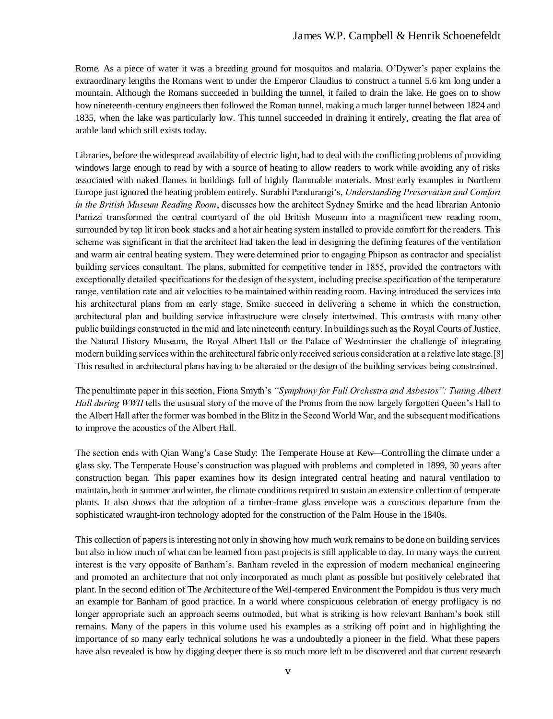Rome. As a piece of water it was a breeding ground for mosquitos and malaria. O'Dywer's paper explains the extraordinary lengths the Romans went to under the Emperor Claudius to construct a tunnel 5.6 km long under a mountain. Although the Romans succeeded in building the tunnel, it failed to drain the lake. He goes on to show how nineteenth-century engineers then followed the Roman tunnel, making a much larger tunnel between 1824 and 1835, when the lake was particularly low. This tunnel succeeded in draining it entirely, creating the flat area of arable land which still exists today.

Libraries, before the widespread availability of electric light, had to deal with the conflicting problems of providing windows large enough to read by with a source of heating to allow readers to work while avoiding any of risks associated with naked flames in buildings full of highly flammable materials. Most early examples in Northern Europe just ignored the heating problem entirely. Surabhi Pandurangi's, *Understanding Preservation and Comfort in the British Museum Reading Room*, discusses how the architect Sydney Smirke and the head librarian Antonio Panizzi transformed the central courtyard of the old British Museum into a magnificent new reading room, surrounded by top lit iron book stacks and a hot air heating system installed to provide comfort for the readers. This scheme was significant in that the architect had taken the lead in designing the defining features of the ventilation and warm air central heating system. They were determined prior to engaging Phipson as contractor and specialist building services consultant. The plans, submitted for competitive tender in 1855, provided the contractors with exceptionally detailed specifications for the design of the system, including precise specification of the temperature range, ventilation rate and air velocities to be maintained within reading room. Having introduced the services into his architectural plans from an early stage, Smike succeed in delivering a scheme in which the construction, architectural plan and building service infrastructure were closely intertwined. This contrasts with many other public buildings constructed in the mid and late nineteenth century. In buildings such as the Royal Courts of Justice, the Natural History Museum, the Royal Albert Hall or the Palace of Westminster the challenge of integrating modern building services within the architectural fabric only received serious consideration at a relative late stage.[8] This resulted in architectural plans having to be alterated or the design of the building services being constrained.

The penultimate paper in this section, Fiona Smyth's "Symphony for Full Orchestra and Asbestos": *Tuning Albert Hall during WWII* tells the ususual story of the move of the Proms from the now largely forgotten Queen's Hall to the Albert Hall after the former was bombed in the Blitz in the Second World War, and the subsequent modifications to improve the acoustics of the Albert Hall.

The section ends with Qian Wang's Case Study: The Temperate House at Kew*—*Controlling the climate under a glass sky. The Temperate House's construction was plagued with problems and completed in 1899, 30 years after construction began. This paper examines how its design integrated central heating and natural ventilation to maintain, both in summer and winter, the climate conditions required to sustain an extensice collection of temperate plants. It also shows that the adoption of a timber-frame glass envelope was a conscious departure from the sophisticated wraught-iron technology adopted for the construction of the Palm House in the 1840s.

This collection of papers is interesting not only in showing how much work remains to be done on building services but also in how much of what can be learned from past projects is still applicable to day. In many ways the current interest is the very opposite of Banham's. Banham reveled in the expression of modern mechanical engineering and promoted an architecture that not only incorporated as much plant as possible but positively celebrated that plant. In the second edition of The Architecture of the Well-tempered Environment the Pompidou is thus very much an example for Banham of good practice. In a world where conspicuous celebration of energy profligacy is no longer appropriate such an approach seems outmoded, but what is striking is how relevant Banham's book still remains. Many of the papers in this volume used his examples as a striking off point and in highlighting the importance of so many early technical solutions he was a undoubtedly a pioneer in the field. What these papers have also revealed is how by digging deeper there is so much more left to be discovered and that current research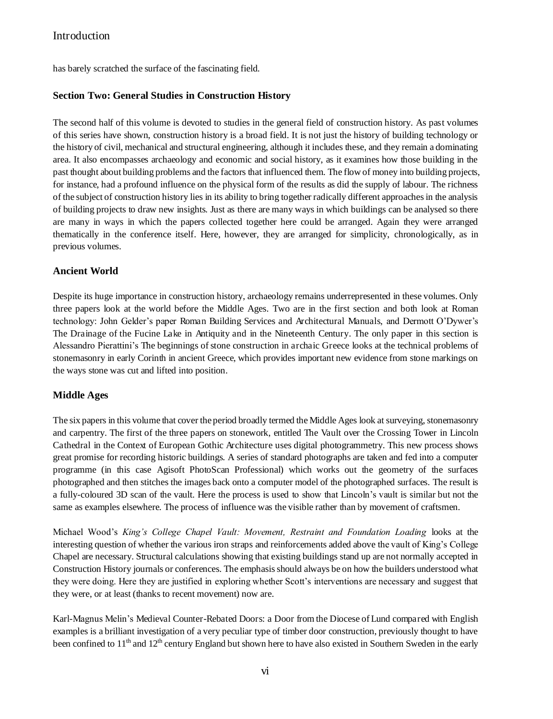has barely scratched the surface of the fascinating field.

#### **Section Two: General Studies in Construction History**

The second half of this volume is devoted to studies in the general field of construction history. As past volumes of this series have shown, construction history is a broad field. It is not just the history of building technology or the history of civil, mechanical and structural engineering, although it includes these, and they remain a dominating area. It also encompasses archaeology and economic and social history, as it examines how those building in the past thought about building problems and the factors that influenced them. The flow of money into building projects, for instance, had a profound influence on the physical form of the results as did the supply of labour. The richness of the subject of construction history lies in its ability to bring together radically different approaches in the analysis of building projects to draw new insights. Just as there are many ways in which buildings can be analysed so there are many in ways in which the papers collected together here could be arranged. Again they were arranged thematically in the conference itself. Here, however, they are arranged for simplicity, chronologically, as in previous volumes.

#### **Ancient World**

Despite its huge importance in construction history, archaeology remains underrepresented in these volumes. Only three papers look at the world before the Middle Ages. Two are in the first section and both look at Roman technology: John Gelder's paper Roman Building Services and Architectural Manuals, and Dermott O'Dywer's The Drainage of the Fucine Lake in Antiquity and in the Nineteenth Century. The only paper in this section is Alessandro Pierattini's The beginnings of stone construction in archaic Greece looks at the technical problems of stonemasonry in early Corinth in ancient Greece, which provides important new evidence from stone markings on the ways stone was cut and lifted into position.

#### **Middle Ages**

The six papers in this volume that cover the period broadly termed the Middle Ages look at surveying, stonemasonry and carpentry. The first of the three papers on stonework, entitled The Vault over the Crossing Tower in Lincoln Cathedral in the Context of European Gothic Architecture uses digital photogrammetry. This new process shows great promise for recording historic buildings. A series of standard photographs are taken and fed into a computer programme (in this case Agisoft PhotoScan Professional) which works out the geometry of the surfaces photographed and then stitches the images back onto a computer model of the photographed surfaces. The result is a fully-coloured 3D scan of the vault. Here the process is used to show that Lincoln's vault is similar but not the same as examples elsewhere. The process of influence was the visible rather than by movement of craftsmen.

Michael Wood's *King's College Chapel Vault: Movement, Restraint and Foundation Loading* looks at the interesting question of whether the various iron straps and reinforcements added above the vault of King's College Chapel are necessary. Structural calculations showing that existing buildings stand up are not normally accepted in Construction History journals or conferences. The emphasis should always be on how the builders understood what they were doing. Here they are justified in exploring whether Scott's interventions are necessary and suggest that they were, or at least (thanks to recent movement) now are.

Karl-Magnus Melin's Medieval Counter-Rebated Doors: a Door from the Diocese of Lund compared with English examples is a brilliant investigation of a very peculiar type of timber door construction, previously thought to have been confined to 11<sup>th</sup> and 12<sup>th</sup> century England but shown here to have also existed in Southern Sweden in the early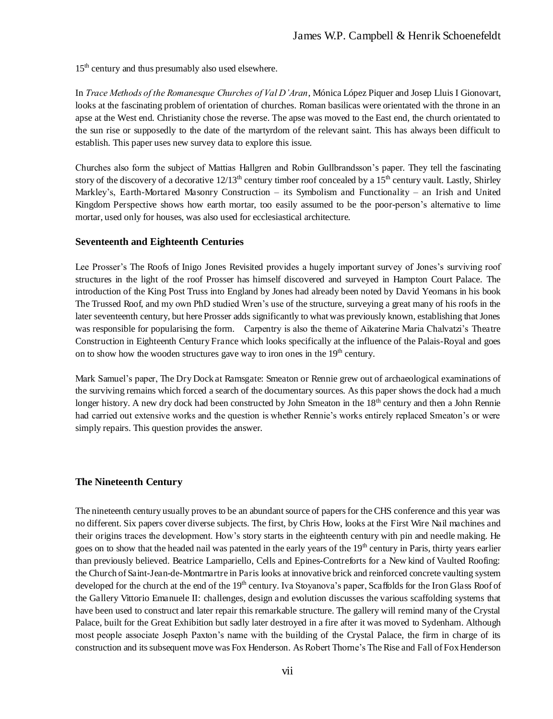15<sup>th</sup> century and thus presumably also used elsewhere.

In *Trace Methods of the Romanesque Churches of Val D'Aran*, Mónica López Piquer and Josep Lluis I Gionovart, looks at the fascinating problem of orientation of churches. Roman basilicas were orientated with the throne in an apse at the West end. Christianity chose the reverse. The apse was moved to the East end, the church orientated to the sun rise or supposedly to the date of the martyrdom of the relevant saint. This has always been difficult to establish. This paper uses new survey data to explore this issue.

Churches also form the subject of Mattias Hallgren and Robin Gullbrandsson's paper. They tell the fascinating story of the discovery of a decorative  $12/13<sup>th</sup>$  century timber roof concealed by a  $15<sup>th</sup>$  century vault. Lastly, Shirley Markley's, Earth-Mortared Masonry Construction *–* its Symbolism and Functionality *–* an Irish and United Kingdom Perspective shows how earth mortar, too easily assumed to be the poor-person's alternative to lime mortar, used only for houses, was also used for ecclesiastical architecture.

#### **Seventeenth and Eighteenth Centuries**

Lee Prosser's The Roofs of Inigo Jones Revisited provides a hugely important survey of Jones's surviving roof structures in the light of the roof Prosser has himself discovered and surveyed in Hampton Court Palace. The introduction of the King Post Truss into England by Jones had already been noted by David Yeomans in his book The Trussed Roof, and my own PhD studied Wren's use of the structure, surveying a great many of his roofs in the later seventeenth century, but here Prosser adds significantly to what was previously known, establishing that Jones was responsible for popularising the form. Carpentry is also the theme of Aikaterine Maria Chalvatzi's Theatre Construction in Eighteenth Century France which looks specifically at the influence of the Palais-Royal and goes on to show how the wooden structures gave way to iron ones in the  $19<sup>th</sup>$  century.

Mark Samuel's paper, The Dry Dock at Ramsgate: Smeaton or Rennie grew out of archaeological examinations of the surviving remains which forced a search of the documentary sources. As this paper shows the dock had a much longer history. A new dry dock had been constructed by John Smeaton in the 18<sup>th</sup> century and then a John Rennie had carried out extensive works and the question is whether Rennie's works entirely replaced Smeaton's or were simply repairs. This question provides the answer.

#### **The Nineteenth Century**

The nineteenth century usually proves to be an abundant source of papers for the CHS conference and this year was no different. Six papers cover diverse subjects. The first, by Chris How, looks at the First Wire Nail machines and their origins traces the development. How's story starts in the eighteenth century with pin and needle making. He goes on to show that the headed nail was patented in the early years of the  $19<sup>th</sup>$  century in Paris, thirty years earlier than previously believed. Beatrice Lampariello, Cells and Epines-Contreforts for a New kind of Vaulted Roofing: the Church of Saint-Jean-de-Montmartre in Paris looks at innovative brick and reinforced concrete vaulting system developed for the church at the end of the 19<sup>th</sup> century. Iva Stoyanova's paper, Scaffolds for the Iron Glass Roof of the Gallery Vittorio Emanuele II: challenges, design and evolution discusses the various scaffolding systems that have been used to construct and later repair this remarkable structure. The gallery will remind many of the Crystal Palace, built for the Great Exhibition but sadly later destroyed in a fire after it was moved to Sydenham. Although most people associate Joseph Paxton's name with the building of the Crystal Palace, the firm in charge of its construction and its subsequent move was Fox Henderson. As Robert Thorne's The Rise and Fall of Fox Henderson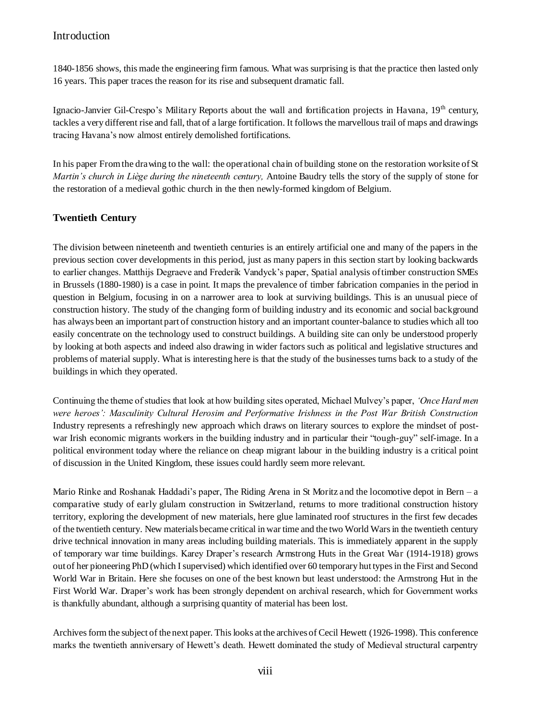1840-1856 shows, this made the engineering firm famous. What was surprising is that the practice then lasted only 16 years. This paper traces the reason for its rise and subsequent dramatic fall.

Ignacio-Janvier Gil-Crespo's Military Reports about the wall and fortification projects in Havana, 19<sup>th</sup> century, tackles a very different rise and fall, that of a large fortification. It follows the marvellous trail of maps and drawings tracing Havana's now almost entirely demolished fortifications.

In his paper From the drawing to the wall: the operational chain of building stone on the restoration worksite of St *Martin's church in Liège during the nineteenth century,* Antoine Baudry tells the story of the supply of stone for the restoration of a medieval gothic church in the then newly-formed kingdom of Belgium.

#### **Twentieth Century**

The division between nineteenth and twentieth centuries is an entirely artificial one and many of the papers in the previous section cover developments in this period, just as many papers in this section start by looking backwards to earlier changes. Matthijs Degraeve and Frederik Vandyck's paper, Spatial analysis of timber construction SMEs in Brussels (1880-1980) is a case in point. It maps the prevalence of timber fabrication companies in the period in question in Belgium, focusing in on a narrower area to look at surviving buildings. This is an unusual piece of construction history. The study of the changing form of building industry and its economic and social background has always been an important part of construction history and an important counter-balance to studies which all too easily concentrate on the technology used to construct buildings. A building site can only be understood properly by looking at both aspects and indeed also drawing in wider factors such as political and legislative structures and problems of material supply. What is interesting here is that the study of the businesses turns back to a study of the buildings in which they operated.

Continuing the theme of studies that look at how building sites operated, Michael Mulvey's paper, *'Once Hard men were heroes': Masculinity Cultural Herosim and Performative Irishness in the Post War British Construction*  Industry represents a refreshingly new approach which draws on literary sources to explore the mindset of postwar Irish economic migrants workers in the building industry and in particular their "tough-guy" self-image. In a political environment today where the reliance on cheap migrant labour in the building industry is a critical point of discussion in the United Kingdom, these issues could hardly seem more relevant.

Mario Rinke and Roshanak Haddadi's paper, The Riding Arena in St Moritz and the locomotive depot in Bern *–* a comparative study of early glulam construction in Switzerland, returns to more traditional construction history territory, exploring the development of new materials, here glue laminated roof structures in the first few decades of the twentieth century. New materials became critical in war time and the two World Wars in the twentieth century drive technical innovation in many areas including building materials. This is immediately apparent in the supply of temporary war time buildings. Karey Draper's research Armstrong Huts in the Great War (1914-1918) grows out of her pioneering PhD (which I supervised) which identified over 60 temporary hut types in the First and Second World War in Britain. Here she focuses on one of the best known but least understood: the Armstrong Hut in the First World War. Draper's work has been strongly dependent on archival research, which for Government works is thankfully abundant, although a surprising quantity of material has been lost.

Archives form the subject of the next paper. This looks at the archives of Cecil Hewett (1926-1998). This conference marks the twentieth anniversary of Hewett's death. Hewett dominated the study of Medieval structural carpentry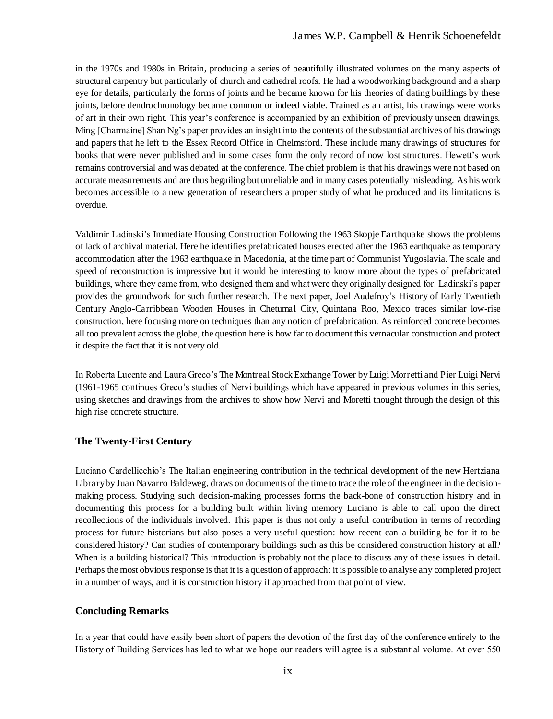in the 1970s and 1980s in Britain, producing a series of beautifully illustrated volumes on the many aspects of structural carpentry but particularly of church and cathedral roofs. He had a woodworking background and a sharp eye for details, particularly the forms of joints and he became known for his theories of dating buildings by these joints, before dendrochronology became common or indeed viable. Trained as an artist, his drawings were works of art in their own right. This year's conference is accompanied by an exhibition of previously unseen drawings. Ming [Charmaine] Shan Ng's paper provides an insight into the contents of the substantial archives of his drawings and papers that he left to the Essex Record Office in Chelmsford. These include many drawings of structures for books that were never published and in some cases form the only record of now lost structures. Hewett's work remains controversial and was debated at the conference. The chief problem is that his drawings were not based on accurate measurements and are thus beguiling but unreliable and in many cases potentially misleading. As his work becomes accessible to a new generation of researchers a proper study of what he produced and its limitations is overdue.

Valdimir Ladinski's Immediate Housing Construction Following the 1963 Skopje Earthquake shows the problems of lack of archival material. Here he identifies prefabricated houses erected after the 1963 earthquake as temporary accommodation after the 1963 earthquake in Macedonia, at the time part of Communist Yugoslavia. The scale and speed of reconstruction is impressive but it would be interesting to know more about the types of prefabricated buildings, where they came from, who designed them and what were they originally designed for. Ladinski's paper provides the groundwork for such further research. The next paper, Joel Audefroy's History of Early Twentieth Century Anglo-Carribbean Wooden Houses in Chetumal City, Quintana Roo, Mexico traces similar low-rise construction, here focusing more on techniques than any notion of prefabrication. As reinforced concrete becomes all too prevalent across the globe, the question here is how far to document this vernacular construction and protect it despite the fact that it is not very old.

In Roberta Lucente and Laura Greco's The Montreal Stock Exchange Tower by Luigi Morretti and Pier Luigi Nervi (1961-1965 continues Greco's studies of Nervi buildings which have appeared in previous volumes in this series, using sketches and drawings from the archives to show how Nervi and Moretti thought through the design of this high rise concrete structure.

#### **The Twenty-First Century**

Luciano Cardellicchio's The Italian engineering contribution in the technical development of the new Hertziana Library by Juan Navarro Baldeweg, draws on documents of the time to trace the role of the engineer in the decisionmaking process. Studying such decision-making processes forms the back-bone of construction history and in documenting this process for a building built within living memory Luciano is able to call upon the direct recollections of the individuals involved. This paper is thus not only a useful contribution in terms of recording process for future historians but also poses a very useful question: how recent can a building be for it to be considered history? Can studies of contemporary buildings such as this be considered construction history at all? When is a building historical? This introduction is probably not the place to discuss any of these issues in detail. Perhaps the most obvious response is that it is a question of approach: it is possible to analyse any completed project in a number of ways, and it is construction history if approached from that point of view.

#### **Concluding Remarks**

In a year that could have easily been short of papers the devotion of the first day of the conference entirely to the History of Building Services has led to what we hope our readers will agree is a substantial volume. At over 550